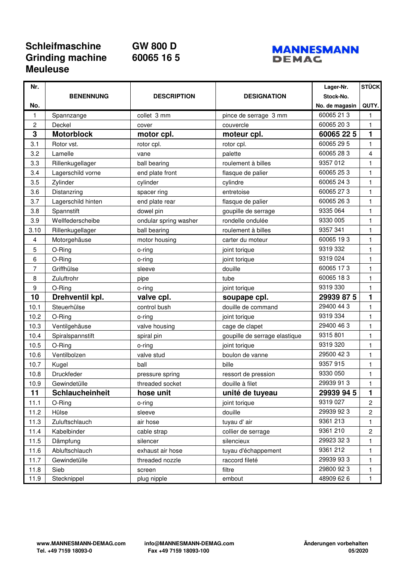## **Schleifmaschine GW 800 D Grinding machine 60065 16 5 Meuleuse**



| Nr.  |                    |                       |                               | Lager-Nr.      | <b>STÜCK</b>   |
|------|--------------------|-----------------------|-------------------------------|----------------|----------------|
|      | <b>BENENNUNG</b>   | <b>DESCRIPTION</b>    | <b>DESIGNATION</b>            | Stock-No.      |                |
| No.  |                    |                       |                               | No. de magasin | QUTY.          |
| 1    | Spannzange         | collet 3 mm           | pince de serrage 3 mm         | 60065 21 3     | 1              |
| 2    | Deckel             | cover                 | couvercle                     | 60065 20 3     | 1              |
| 3    | <b>Motorblock</b>  | motor cpl.            | moteur cpl.                   | 60065 22 5     | 1              |
| 3.1  | Rotor vst.         | rotor cpl.            | rotor cpl.                    | 60065 29 5     | 1              |
| 3.2  | Lamelle            | vane                  | palette                       | 60065 28 3     | 4              |
| 3.3  | Rillenkugellager   | ball bearing          | roulement à billes            | 9357 012       | $\mathbf{1}$   |
| 3.4  | Lagerschild vorne  | end plate front       | flasque de palier             | 60065 25 3     | 1              |
| 3.5  | Zylinder           | cylinder              | cylindre                      | 60065 24 3     | $\mathbf{1}$   |
| 3.6  | Distanzring        | spacer ring           | entretoise                    | 60065 27 3     | $\mathbf{1}$   |
| 3.7  | Lagerschild hinten | end plate rear        | flasque de palier             | 60065 26 3     | 1              |
| 3.8  | Spannstift         | dowel pin             | goupille de serrage           | 9335 064       | $\mathbf{1}$   |
| 3.9  | Wellfederscheibe   | ondular spring washer | rondelle ondulée              | 9330 005       | $\mathbf{1}$   |
| 3.10 | Rillenkugellager   | ball bearing          | roulement à billes            | 9357 341       | 1              |
| 4    | Motorgehäuse       | motor housing         | carter du moteur              | 60065 193      | $\mathbf{1}$   |
| 5    | O-Ring             | o-ring                | joint torique                 | 9319 332       | $\mathbf{1}$   |
| 6    | O-Ring             | o-ring                | joint torique                 | 9319 024       | 1              |
| 7    | Griffhülse         | sleeve                | douille                       | 60065 173      | $\mathbf{1}$   |
| 8    | Zuluftrohr         | pipe                  | tube                          | 60065 183      | $\mathbf{1}$   |
| 9    | O-Ring             | o-ring                | joint torique                 | 9319 330       | $\mathbf{1}$   |
| 10   | Drehventil kpl.    | valve cpl.            | soupape cpl.                  | 29939 87 5     | 1              |
| 10.1 | Steuerhülse        | control bush          | douille de command            | 29400 44 3     | $\mathbf{1}$   |
| 10.2 | O-Ring             | o-ring                | joint torique                 | 9319 334       | $\mathbf{1}$   |
| 10.3 | Ventilgehäuse      | valve housing         | cage de clapet                | 29400 46 3     | $\mathbf{1}$   |
| 10.4 | Spiralspannstift   | spiral pin            | goupille de serrage elastique | 9315 801       | 1              |
| 10.5 | O-Ring             | o-ring                | joint torique                 | 9319 320       | 1              |
| 10.6 | Ventilbolzen       | valve stud            | boulon de vanne               | 29500 42 3     | $\mathbf{1}$   |
| 10.7 | Kugel              | ball                  | bille                         | 9357 915       | $\mathbf{1}$   |
| 10.8 | Druckfeder         | pressure spring       | ressort de pression           | 9330 050       | 1              |
| 10.9 | Gewindetülle       | threaded socket       | douille à filet               | 29939 91 3     | 1              |
| 11   | Schlaucheinheit    | hose unit             | unité de tuyeau               | 29939 94 5     | 1              |
| 11.1 | O-Ring             | o-ring                | joint torique                 | 9319 027       | $\overline{c}$ |
| 11.2 | Hülse              | sleeve                | douille                       | 29939 92 3     | 2              |
| 11.3 | Zuluftschlauch     | air hose              | tuyau d'air                   | 9361 213       | 1              |
| 11.4 | Kabelbinder        | cable strap           | collier de serrage            | 9361 210       | $\overline{c}$ |
| 11.5 | Dämpfung           | silencer              | silencieux                    | 29923 32 3     | 1              |
| 11.6 | Abluftschlauch     | exhaust air hose      | tuyau d'échappement           | 9361 212       | 1              |
| 11.7 | Gewindetülle       | threaded nozzle       | raccord fileté                | 29939 93 3     | 1              |
| 11.8 | Sieb               | screen                | filtre                        | 29800 92 3     | 1              |
| 11.9 | Stecknippel        | plug nipple           | embout                        | 48909 62 6     |                |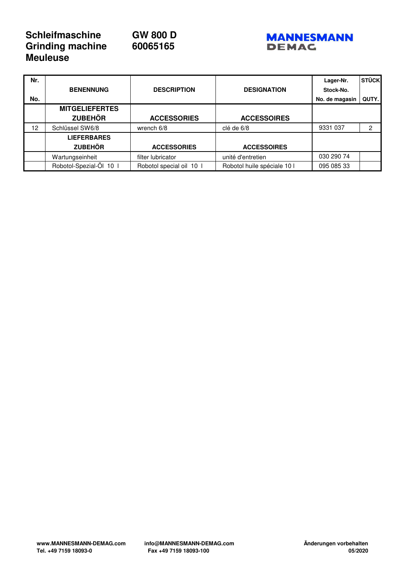## **Schleifmaschine GW 800 D**<br>Grinding machine **60065165 Grinding machine Meuleuse**





| Nr. |                         |                          |                             | Lager-Nr.      | <b>STÜCK</b> |
|-----|-------------------------|--------------------------|-----------------------------|----------------|--------------|
|     | <b>BENENNUNG</b>        | <b>DESCRIPTION</b>       | <b>DESIGNATION</b>          | Stock-No.      |              |
| No. |                         |                          |                             | No. de magasin | QUTY.        |
|     | <b>MITGELIEFERTES</b>   |                          |                             |                |              |
|     | <b>ZUBEHÖR</b>          | <b>ACCESSORIES</b>       | <b>ACCESSOIRES</b>          |                |              |
| 12  | Schlüssel SW6/8         | wrench $6/8$             | clé de 6/8                  | 9331 037       | 2            |
|     | <b>LIEFERBARES</b>      |                          |                             |                |              |
|     | <b>ZUBEHÖR</b>          | <b>ACCESSORIES</b>       | <b>ACCESSOIRES</b>          |                |              |
|     | Wartungseinheit         | filter lubricator        | unité d'entretien           | 030 290 74     |              |
|     | Robotol-Spezial-Öl 10 I | Robotol special oil 10 I | Robotol huile spéciale 10 l | 095 085 33     |              |